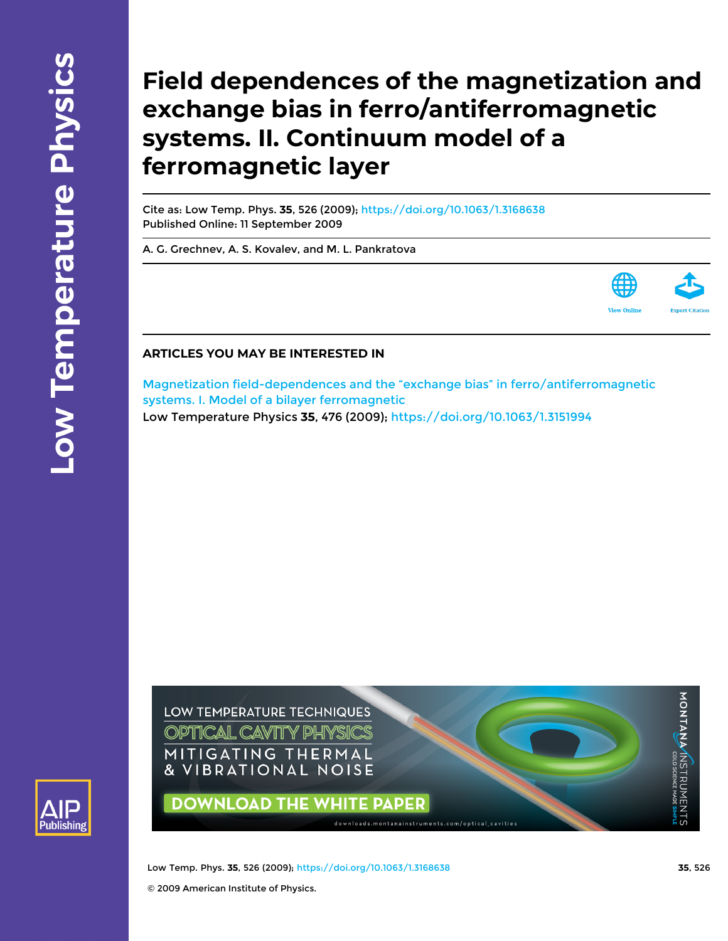# **Field dependences of the magnetization and exchange bias in ferro/antiferromagnetic systems. II. Continuum model of a ferromagnetic layer**

Cite as: Low Temp. Phys. **35**, 526 (2009); <https://doi.org/10.1063/1.3168638> Published Online: 11 September 2009

[A. G. Grechnev,](https://aip.scitation.org/author/Grechnev%2C+A+G) [A. S. Kovalev](https://aip.scitation.org/author/Kovalev%2C+A+S), and [M. L. Pankratova](https://aip.scitation.org/author/Pankratova%2C+M+L)



# **ARTICLES YOU MAY BE INTERESTED IN**

[Magnetization field-dependences and the "exchange bias" in ferro/antiferromagnetic](https://aip.scitation.org/doi/10.1063/1.3151994) [systems. I. Model of a bilayer ferromagnetic](https://aip.scitation.org/doi/10.1063/1.3151994)

Low Temperature Physics **35**, 476 (2009); <https://doi.org/10.1063/1.3151994>

LOW TEMPERATURE TECHNIQUES **OPTICAL CAVITY PHYSICS** MITIGATING THERMAL & VIBRATIONAL NOISE



**DOWNLOAD THE WHITE PAPER** 

downloads.montanainstruments.com/optical\_cavities

**Exercis agreem STRUMENTS**<br>M**ONTA MAM**NSTRUMENTS

Low Temp. Phys. **35**, 526 (2009); <https://doi.org/10.1063/1.3168638> **35**, 526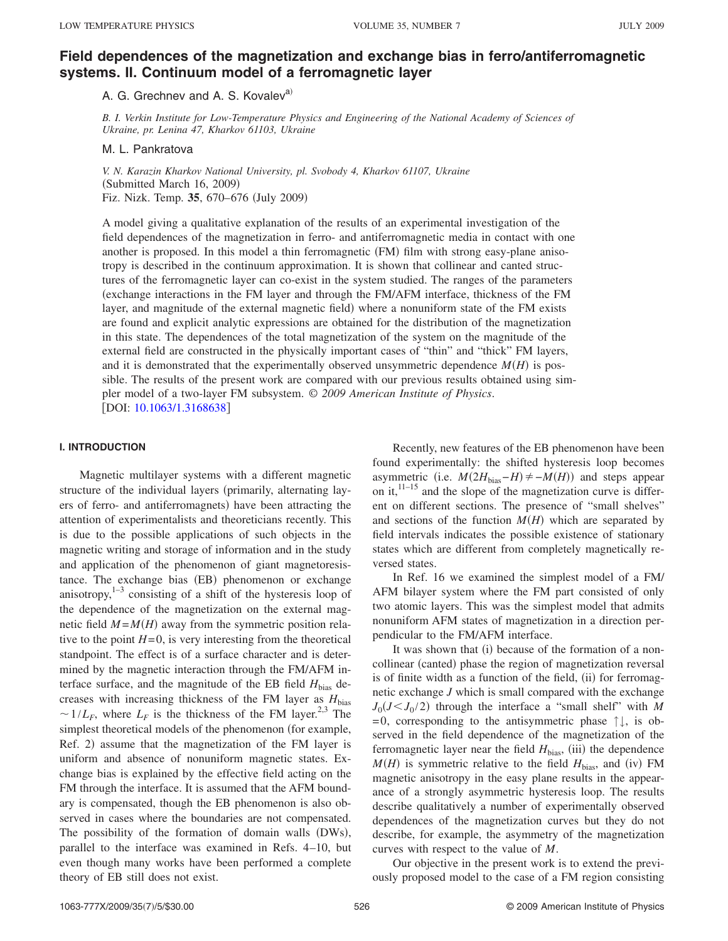# **[Field dependences of the magnetization and exchange bias in ferro/antiferromagnetic](http://dx.doi.org/10.1063/1.3168638) [systems. II. Continuum model of a ferromagnetic layer](http://dx.doi.org/10.1063/1.3168638)**

A. G. Grechnev and A. S. Kovalev<sup>a)</sup>

*B. I. Verkin Institute for Low-Temperature Physics and Engineering of the National Academy of Sciences of Ukraine, pr. Lenina 47, Kharkov 61103, Ukraine*

#### M. L. Pankratova

*V. N. Karazin Kharkov National University, pl. Svobody 4, Kharkov 61107, Ukraine* (Submitted March 16, 2009) Fiz. Nizk. Temp. **35**, 670–676 July 2009-

A model giving a qualitative explanation of the results of an experimental investigation of the field dependences of the magnetization in ferro- and antiferromagnetic media in contact with one another is proposed. In this model a thin ferromagnetic (FM) film with strong easy-plane anisotropy is described in the continuum approximation. It is shown that collinear and canted structures of the ferromagnetic layer can co-exist in the system studied. The ranges of the parameters exchange interactions in the FM layer and through the FM/AFM interface, thickness of the FM layer, and magnitude of the external magnetic field) where a nonuniform state of the FM exists are found and explicit analytic expressions are obtained for the distribution of the magnetization in this state. The dependences of the total magnetization of the system on the magnitude of the external field are constructed in the physically important cases of "thin" and "thick" FM layers, and it is demonstrated that the experimentally observed unsymmetric dependence  $M(H)$  is possible. The results of the present work are compared with our previous results obtained using simpler model of a two-layer FM subsystem. © *2009 American Institute of Physics*. [DOI: [10.1063/1.3168638](http://dx.doi.org/10.1063/1.3168638)]

#### **I. INTRODUCTION**

Magnetic multilayer systems with a different magnetic structure of the individual layers (primarily, alternating layers of ferro- and antiferromagnets) have been attracting the attention of experimentalists and theoreticians recently. This is due to the possible applications of such objects in the magnetic writing and storage of information and in the study and application of the phenomenon of giant magnetoresistance. The exchange bias (EB) phenomenon or exchange anisotropy, $1-3$  consisting of a shift of the hysteresis loop of the dependence of the magnetization on the external magnetic field  $M = M(H)$  away from the symmetric position relative to the point  $H=0$ , is very interesting from the theoretical standpoint. The effect is of a surface character and is determined by the magnetic interaction through the FM/AFM interface surface, and the magnitude of the EB field  $H_{bias}$  decreases with increasing thickness of the FM layer as  $H_{bias}$  $\sim 1/L_F$ , where  $L_F$  is the thickness of the FM layer.<sup>2,3</sup> The simplest theoretical models of the phenomenon (for example, Ref. 2) assume that the magnetization of the FM layer is uniform and absence of nonuniform magnetic states. Exchange bias is explained by the effective field acting on the FM through the interface. It is assumed that the AFM boundary is compensated, though the EB phenomenon is also observed in cases where the boundaries are not compensated. The possibility of the formation of domain walls (DWs), parallel to the interface was examined in Refs. 4–10, but even though many works have been performed a complete theory of EB still does not exist.

Recently, new features of the EB phenomenon have been found experimentally: the shifted hysteresis loop becomes asymmetric (i.e.  $M(2H_{bias} - H) \neq -M(H)$ ) and steps appear on it,  $11-15$  and the slope of the magnetization curve is different on different sections. The presence of "small shelves" and sections of the function  $M(H)$  which are separated by field intervals indicates the possible existence of stationary states which are different from completely magnetically reversed states.

In Ref. 16 we examined the simplest model of a FM/ AFM bilayer system where the FM part consisted of only two atomic layers. This was the simplest model that admits nonuniform AFM states of magnetization in a direction perpendicular to the FM/AFM interface.

It was shown that (i) because of the formation of a noncollinear (canted) phase the region of magnetization reversal is of finite width as a function of the field, (ii) for ferromagnetic exchange *J* which is small compared with the exchange  $J_0(J \leq J_0/2)$  through the interface a "small shelf" with *M*  $=0$ , corresponding to the antisymmetric phase  $\uparrow \downarrow$ , is observed in the field dependence of the magnetization of the ferromagnetic layer near the field  $H_{bias}$ , (iii) the dependence  $M(H)$  is symmetric relative to the field  $H_{\text{bias}}$ , and (iv) FM magnetic anisotropy in the easy plane results in the appearance of a strongly asymmetric hysteresis loop. The results describe qualitatively a number of experimentally observed dependences of the magnetization curves but they do not describe, for example, the asymmetry of the magnetization curves with respect to the value of *M*.

Our objective in the present work is to extend the previously proposed model to the case of a FM region consisting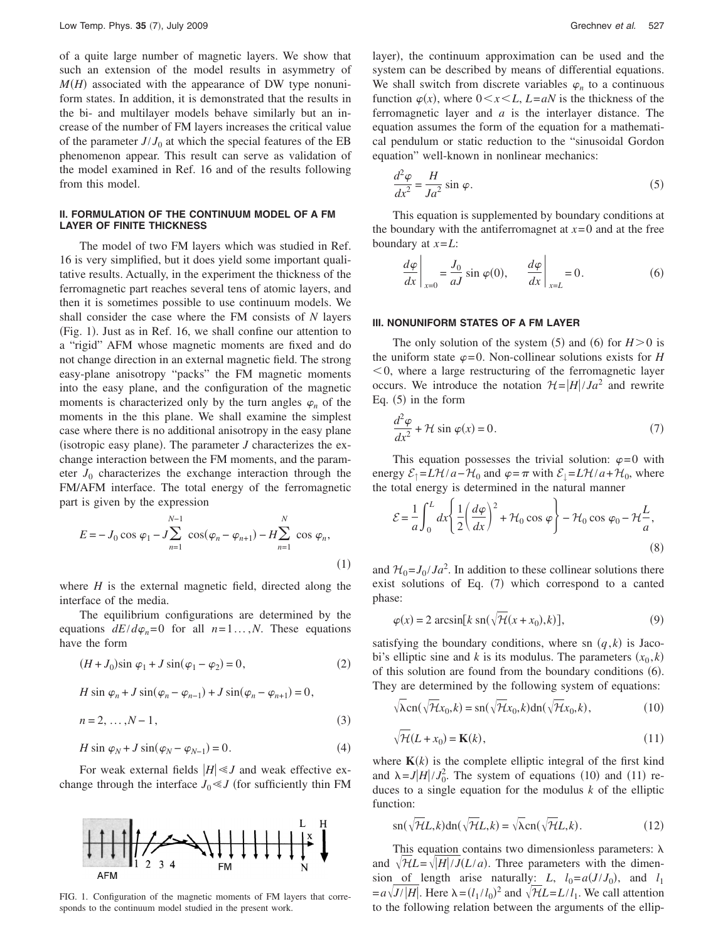of a quite large number of magnetic layers. We show that such an extension of the model results in asymmetry of  $M(H)$  associated with the appearance of DW type nonuniform states. In addition, it is demonstrated that the results in the bi- and multilayer models behave similarly but an increase of the number of FM layers increases the critical value of the parameter  $J/J_0$  at which the special features of the EB phenomenon appear. This result can serve as validation of the model examined in Ref. 16 and of the results following from this model.

## **II. FORMULATION OF THE CONTINUUM MODEL OF A FM LAYER OF FINITE THICKNESS**

The model of two FM layers which was studied in Ref. 16 is very simplified, but it does yield some important qualitative results. Actually, in the experiment the thickness of the ferromagnetic part reaches several tens of atomic layers, and then it is sometimes possible to use continuum models. We shall consider the case where the FM consists of *N* layers (Fig. 1). Just as in Ref. 16, we shall confine our attention to a "rigid" AFM whose magnetic moments are fixed and do not change direction in an external magnetic field. The strong easy-plane anisotropy "packs" the FM magnetic moments into the easy plane, and the configuration of the magnetic moments is characterized only by the turn angles  $\varphi_n$  of the moments in the this plane. We shall examine the simplest case where there is no additional anisotropy in the easy plane (isotropic easy plane). The parameter  $J$  characterizes the exchange interaction between the FM moments, and the parameter  $J_0$  characterizes the exchange interaction through the FM/AFM interface. The total energy of the ferromagnetic part is given by the expression

$$
E = -J_0 \cos \varphi_1 - J \sum_{n=1}^{N-1} \cos(\varphi_n - \varphi_{n+1}) - H \sum_{n=1}^{N} \cos \varphi_n,
$$
\n(1)

where  $H$  is the external magnetic field, directed along the interface of the media.

The equilibrium configurations are determined by the equations  $dE/d\varphi_n = 0$  for all  $n = 1...$ , *N*. These equations have the form

$$
(H + J_0)\sin \varphi_1 + J \sin(\varphi_1 - \varphi_2) = 0, \tag{2}
$$

$$
H\sin\varphi_n+J\sin(\varphi_n-\varphi_{n-1})+J\sin(\varphi_n-\varphi_{n+1})=0,
$$

$$
n = 2, \dots, N - 1,\tag{3}
$$

$$
H\sin\varphi_N + J\sin(\varphi_N - \varphi_{N-1}) = 0.
$$
 (4)

For weak external fields  $|H| \le J$  and weak effective exchange through the interface  $J_0 \ll J$  (for sufficiently thin FM



FIG. 1. Configuration of the magnetic moments of FM layers that corresponds to the continuum model studied in the present work.

layer), the continuum approximation can be used and the system can be described by means of differential equations. We shall switch from discrete variables  $\varphi_n$  to a continuous function  $\varphi(x)$ , where  $0 \le x \le L$ ,  $L = aN$  is the thickness of the ferromagnetic layer and *a* is the interlayer distance. The equation assumes the form of the equation for a mathematical pendulum or static reduction to the "sinusoidal Gordon equation" well-known in nonlinear mechanics:

$$
\frac{d^2\varphi}{dx^2} = \frac{H}{Ja^2} \sin \varphi.
$$
 (5)

This equation is supplemented by boundary conditions at the boundary with the antiferromagnet at  $x=0$  and at the free boundary at *x*=*L*:

$$
\left. \frac{d\varphi}{dx} \right|_{x=0} = \frac{J_0}{aJ} \sin \varphi(0), \qquad \left. \frac{d\varphi}{dx} \right|_{x=L} = 0.
$$
 (6)

#### **III. NONUNIFORM STATES OF A FM LAYER**

The only solution of the system  $(5)$  and  $(6)$  for  $H>0$  is the uniform state  $\varphi = 0$ . Non-collinear solutions exists for *H*  $<$  0, where a large restructuring of the ferromagnetic layer occurs. We introduce the notation  $\mathcal{H} = |H|/Ja^2$  and rewrite Eq.  $(5)$  in the form

$$
\frac{d^2\varphi}{dx^2} + \mathcal{H}\sin\varphi(x) = 0.
$$
 (7)

This equation possesses the trivial solution:  $\varphi = 0$  with energy  $\mathcal{E}_\uparrow = L\mathcal{H}/a - \mathcal{H}_0$  and  $\varphi = \pi$  with  $\mathcal{E}_\downarrow = L\mathcal{H}/a + \mathcal{H}_0$ , where the total energy is determined in the natural manner

$$
\mathcal{E} = \frac{1}{a} \int_0^L dx \left\{ \frac{1}{2} \left( \frac{d\varphi}{dx} \right)^2 + \mathcal{H}_0 \cos \varphi \right\} - \mathcal{H}_0 \cos \varphi_0 - \mathcal{H} \frac{L}{a},\tag{8}
$$

and  $\mathcal{H}_0 = J_0 / J a^2$ . In addition to these collinear solutions there exist solutions of Eq. (7) which correspond to a canted phase:

$$
\varphi(x) = 2 \arcsin[k \operatorname{sn}(\sqrt{7t}(x + x_0), k)], \tag{9}
$$

satisfying the boundary conditions, where sn  $(q, k)$  is Jacobi's elliptic sine and *k* is its modulus. The parameters  $(x_0, k)$ of this solution are found from the boundary conditions (6). They are determined by the following system of equations:

$$
\sqrt{\lambda} \text{cn}(\sqrt{\mathcal{H}}x_0, k) = \text{sn}(\sqrt{\mathcal{H}}x_0, k) \text{dn}(\sqrt{\mathcal{H}}x_0, k), \tag{10}
$$

$$
\sqrt{\mathcal{H}}(L+x_0) = \mathbf{K}(k),\tag{11}
$$

where  $K(k)$  is the complete elliptic integral of the first kind and  $\lambda = J|H|/J_0^2$ . The system of equations (10) and (11) reduces to a single equation for the modulus *k* of the elliptic function:

$$
\operatorname{sn}(\sqrt{\mathcal{H}}L,k)\operatorname{dn}(\sqrt{\mathcal{H}}L,k)=\sqrt{\lambda}\operatorname{cn}(\sqrt{\mathcal{H}}L,k).
$$
 (12)

This equation contains two dimensionless parameters:  $\lambda$ and  $\sqrt{\frac{H}{H}} = \sqrt{|H|}/J(L/a)$ . Three parameters with the dimension of length arise naturally: *L*,  $l_0 = a(J/J_0)$ , and  $l_1$  $=$ a $\sqrt{J/|H|}$ . Here  $\lambda = (l_1 / l_0)^2$  and  $\sqrt{\pi}L = L/l_1$ . We call attention to the following relation between the arguments of the ellip-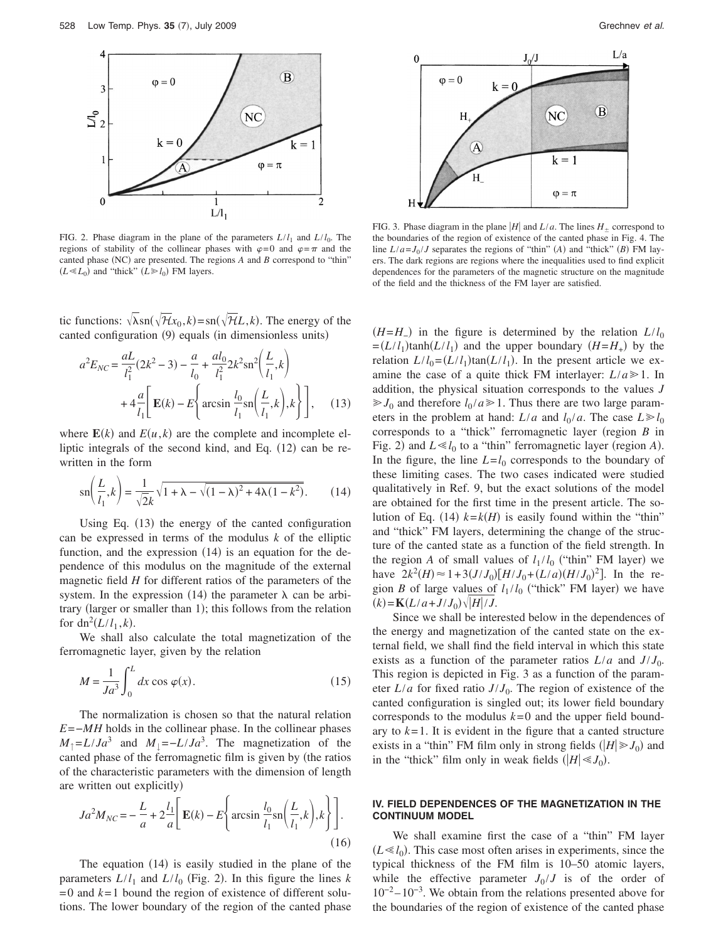

FIG. 2. Phase diagram in the plane of the parameters  $L/l_1$  and  $L/l_0$ . The regions of stability of the collinear phases with  $\varphi = 0$  and  $\varphi = \pi$  and the canted phase (NC) are presented. The regions *A* and *B* correspond to "thin"  $(L \ll L_0)$  and "thick"  $(L \gg l_0)$  FM layers.

tic functions:  $\sqrt{\lambda} \text{sn}(\sqrt{\mathcal{H}}x_0, k) = \text{sn}(\sqrt{\mathcal{H}}L, k)$ . The energy of the canted configuration (9) equals (in dimensionless units)

$$
a^{2}E_{NC} = \frac{aL}{l_{1}^{2}}(2k^{2} - 3) - \frac{a}{l_{0}} + \frac{al_{0}}{l_{1}^{2}}2k^{2}sn^{2}\left(\frac{L}{l_{1}}, k\right)
$$

$$
+ 4\frac{a}{l_{1}}\left[\mathbf{E}(k) - E\left\{\arcsin\frac{l_{0}}{l_{1}}sn\left(\frac{L}{l_{1}}, k\right), k\right\}\right], \quad (13)
$$

where  $E(k)$  and  $E(u, k)$  are the complete and incomplete elliptic integrals of the second kind, and Eq.  $(12)$  can be rewritten in the form

$$
\operatorname{sn}\left(\frac{L}{l_1},k\right) = \frac{1}{\sqrt{2}k}\sqrt{1+\lambda-\sqrt{(1-\lambda)^2+4\lambda(1-k^2)}}.\tag{14}
$$

Using Eq. (13) the energy of the canted configuration can be expressed in terms of the modulus *k* of the elliptic function, and the expression  $(14)$  is an equation for the dependence of this modulus on the magnitude of the external magnetic field *H* for different ratios of the parameters of the system. In the expression (14) the parameter  $\lambda$  can be arbitrary (larger or smaller than 1); this follows from the relation for  $dn^2(L/l_1, k)$ .

We shall also calculate the total magnetization of the ferromagnetic layer, given by the relation

$$
M = \frac{1}{Ja^3} \int_0^L dx \cos \varphi(x).
$$
 (15)

The normalization is chosen so that the natural relation *E*=−*MH* holds in the collinear phase. In the collinear phases  $M_{\parallel} = L/Ja^3$  and  $M_{\perp} = -L/Ja^3$ . The magnetization of the canted phase of the ferromagnetic film is given by (the ratios of the characteristic parameters with the dimension of length are written out explicitly)

$$
Ja^2M_{NC} = -\frac{L}{a} + 2\frac{l_1}{a}\left[\mathbf{E}(k) - E\left\{\arcsin\frac{l_0}{l_1}\operatorname{sn}\left(\frac{L}{l_1}, k\right), k\right\}\right].\tag{16}
$$

The equation  $(14)$  is easily studied in the plane of the parameters  $L/l_1$  and  $L/l_0$  (Fig. 2). In this figure the lines *k*  $=0$  and  $k=1$  bound the region of existence of different solutions. The lower boundary of the region of the canted phase



FIG. 3. Phase diagram in the plane  $|H|$  and  $L/a$ . The lines  $H_+$  correspond to the boundaries of the region of existence of the canted phase in Fig. 4. The line  $L/a = J_0 / J$  separates the regions of "thin" *(A)* and "thick" *(B)* FM layers. The dark regions are regions where the inequalities used to find explicit dependences for the parameters of the magnetic structure on the magnitude of the field and the thickness of the FM layer are satisfied.

 $(H=H_{-})$  in the figure is determined by the relation  $L/l_0$  $=(L/l_1)\tanh(L/l_1)$  and the upper boundary  $(H=H_+)$  by the relation  $L/l_0 = (L/l_1)\tan(L/l_1)$ . In the present article we examine the case of a quite thick FM interlayer:  $L/a \ge 1$ . In addition, the physical situation corresponds to the values *J*  $\gg J_0$  and therefore  $l_0 / a \gg 1$ . Thus there are two large parameters in the problem at hand:  $L/a$  and  $l_0/a$ . The case  $L \ge l_0$ corresponds to a "thick" ferromagnetic layer (region *B* in Fig. 2) and  $L \ll l_0$  to a "thin" ferromagnetic layer (region *A*). In the figure, the line  $L = l_0$  corresponds to the boundary of these limiting cases. The two cases indicated were studied qualitatively in Ref. 9, but the exact solutions of the model are obtained for the first time in the present article. The solution of Eq. (14)  $k = k(H)$  is easily found within the "thin" and "thick" FM layers, determining the change of the structure of the canted state as a function of the field strength. In the region *A* of small values of  $l_1 / l_0$  ("thin" FM layer) we have  $2k^2(H) \approx 1+3(J/J_0)[H/J_0+(L/a)(H/J_0)^2]$ . In the region *B* of large values of  $l_1 / l_0$  ("thick" FM layer) we have  $(k) = K(L/a + J/J_0) \sqrt{|H|/J}.$ 

Since we shall be interested below in the dependences of the energy and magnetization of the canted state on the external field, we shall find the field interval in which this state exists as a function of the parameter ratios  $L/a$  and  $J/J_0$ . This region is depicted in Fig. 3 as a function of the parameter  $L/a$  for fixed ratio  $J/J_0$ . The region of existence of the canted configuration is singled out; its lower field boundary corresponds to the modulus  $k=0$  and the upper field boundary to  $k=1$ . It is evident in the figure that a canted structure exists in a "thin" FM film only in strong fields  $(|H| \ge J_0)$  and in the "thick" film only in weak fields  $(|H| \ll J_0)$ .

## **IV. FIELD DEPENDENCES OF THE MAGNETIZATION IN THE CONTINUUM MODEL**

We shall examine first the case of a "thin" FM layer  $(L \ll l_0)$ . This case most often arises in experiments, since the typical thickness of the FM film is 10–50 atomic layers, while the effective parameter  $J_0 / J$  is of the order of  $10^{-2} - 10^{-3}$ . We obtain from the relations presented above for the boundaries of the region of existence of the canted phase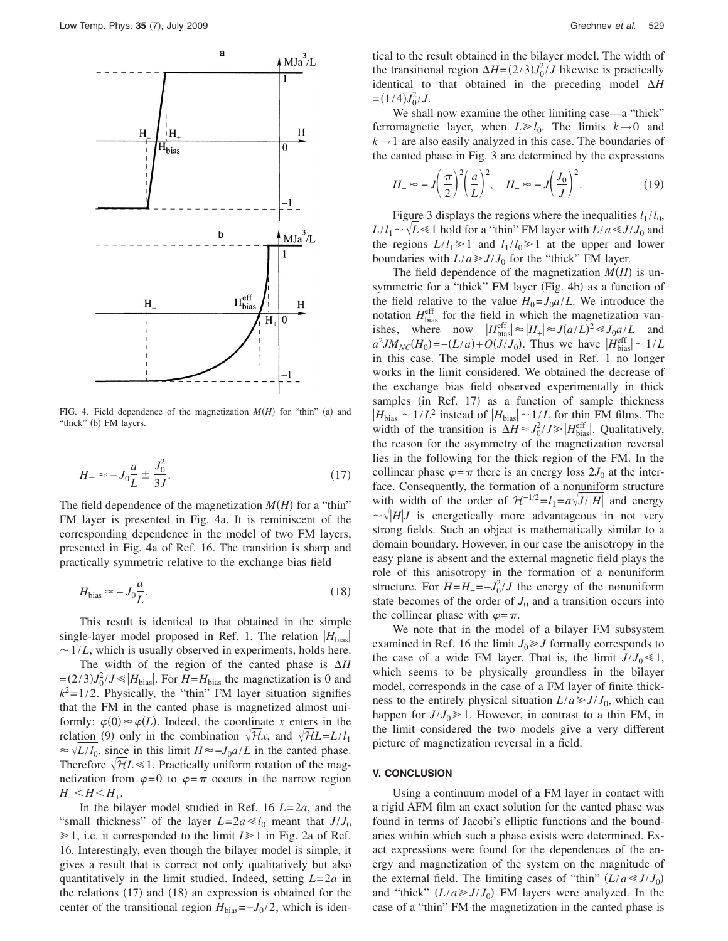

FIG. 4. Field dependence of the magnetization  $M(H)$  for "thin" (a) and "thick" (b) FM layers.

$$
H_{\pm} \approx -J_0 \frac{a}{L} \pm \frac{J_0^2}{3J}.
$$
\n(17)

The field dependence of the magnetization  $M(H)$  for a "thin" FM layer is presented in Fig. 4a. It is reminiscent of the corresponding dependence in the model of two FM layers, presented in Fig. 4a of Ref. 16. The transition is sharp and practically symmetric relative to the exchange bias field

$$
H_{\text{bias}} \approx -J_0 \frac{a}{L}.\tag{18}
$$

This result is identical to that obtained in the simple single-layer model proposed in Ref. 1. The relation  $|H_{\text{bias}}|$  $\sim$  1/*L*, which is usually observed in experiments, holds here.

The width of the region of the canted phase is  $\Delta H$  $=(2/3)J_0^2/J \ll |H_{bias}|$ . For  $H = H_{bias}$  the magnetization is 0 and  $k^2$ =1/2. Physically, the "thin" FM layer situation signifies that the FM in the canted phase is magnetized almost uniformly:  $\varphi(0) \approx \varphi(L)$ . Indeed, the coordinate *x* enters in the relation (9) only in the combination  $\sqrt{\mathcal{H}}x$ , and  $\sqrt{\mathcal{H}}L = L/l_1$  $\approx \sqrt{L/l_0}$ , since in this limit *H* $\approx -J_0 a/L$  in the canted phase. Therefore  $\sqrt{HL}$  1. Practically uniform rotation of the magnetization from  $\varphi = 0$  to  $\varphi = \pi$  occurs in the narrow region *H*<sup>−</sup>*H*<sup>−</sup>*H*<sup>−</sup>*H*<sub>+</sub>.

In the bilayer model studied in Ref. 16 *L*=2*a*, and the "small thickness" of the layer  $L=2a \ll l_0$  meant that  $J/J_0$  $\geq 1$ , i.e. it corresponded to the limit  $I \geq 1$  in Fig. 2a of Ref. 16. Interestingly, even though the bilayer model is simple, it gives a result that is correct not only qualitatively but also quantitatively in the limit studied. Indeed, setting *L*=2*a* in the relations  $(17)$  and  $(18)$  an expression is obtained for the center of the transitional region  $H_{bias} = -J_0 / 2$ , which is identical to the result obtained in the bilayer model. The width of the transitional region  $\Delta H = (2/3)J_0^2/J$  likewise is practically identical to that obtained in the preceding model  $\Delta H$  $=(1/4)J_0^2/J.$ 

We shall now examine the other limiting case—a "thick" ferromagnetic layer, when  $L \ge l_0$ . The limits  $k \to 0$  and  $k \rightarrow 1$  are also easily analyzed in this case. The boundaries of the canted phase in Fig. 3 are determined by the expressions

$$
H_{+} \approx -J\left(\frac{\pi}{2}\right)^{2}\left(\frac{a}{L}\right)^{2}, \quad H_{-} \approx -J\left(\frac{J_{0}}{J}\right)^{2}.
$$
 (19)

Figure 3 displays the regions where the inequalities  $l_1 / l_0$ ,  $L/l_1 \sim \sqrt{L} \ll 1$  hold for a "thin" FM layer with  $L/a \ll J/J_0$  and the regions  $L/l_1 \ge 1$  and  $l_1/l_0 \ge 1$  at the upper and lower boundaries with  $L/a \gg J/J_0$  for the "thick" FM layer.

The field dependence of the magnetization  $M(H)$  is unsymmetric for a "thick" FM layer (Fig. 4b) as a function of the field relative to the value  $H_0 = J_0 a / L$ . We introduce the notation  $H_{bias}^{\text{eff}}$  for the field in which the magnetization vanishes, where now  $|H_{\text{bias}}^{\text{eff}}| \approx |H_{+}| \approx J(a/L)^{2} \ll J_{0}a/L$  and  $a^2 J M_{NC}(H_0) = -(L/a) + O(J/J_0)$ . Thus we have  $|H_{bias}^{\text{eff}}| \sim 1/L$ in this case. The simple model used in Ref. 1 no longer works in the limit considered. We obtained the decrease of the exchange bias field observed experimentally in thick samples (in Ref. 17) as a function of sample thickness  $|H_{\text{bias}}| \sim 1/L^2$  instead of  $|H_{\text{bias}}| \sim 1/L$  for thin FM films. The width of the transition is  $\Delta H \approx J_0^2 / J \gg |H_{\text{bias}}^{\text{eff}}|$ . Qualitatively, the reason for the asymmetry of the magnetization reversal lies in the following for the thick region of the FM. In the collinear phase  $\varphi = \pi$  there is an energy loss  $2J_0$  at the interface. Consequently, the formation of a nonuniform structure with width of the order of  $\mathcal{H}^{-1/2} = l_1 = a\sqrt{J}/|H|$  and energy  $\sim \sqrt{|H|}J$  is energetically more advantageous in not very strong fields. Such an object is mathematically similar to a domain boundary. However, in our case the anisotropy in the easy plane is absent and the external magnetic field plays the role of this anisotropy in the formation of a nonuniform structure. For  $H = H = -J_0^2/J$  the energy of the nonuniform state becomes of the order of  $J_0$  and a transition occurs into the collinear phase with  $\varphi = \pi$ .

We note that in the model of a bilayer FM subsystem examined in Ref. 16 the limit  $J_0 \ge J$  formally corresponds to the case of a wide FM layer. That is, the limit  $J/J_0 \ll 1$ , which seems to be physically groundless in the bilayer model, corresponds in the case of a FM layer of finite thickness to the entirely physical situation  $L/a \gg J/J_0$ , which can happen for  $J/J_0 \ge 1$ . However, in contrast to a thin FM, in the limit considered the two models give a very different picture of magnetization reversal in a field.

### **V. CONCLUSION**

Using a continuum model of a FM layer in contact with a rigid AFM film an exact solution for the canted phase was found in terms of Jacobi's elliptic functions and the boundaries within which such a phase exists were determined. Exact expressions were found for the dependences of the energy and magnetization of the system on the magnitude of the external field. The limiting cases of "thin"  $(L/a \ll J/J_0)$ and "thick"  $(L/a \ge J/J_0)$  FM layers were analyzed. In the case of a "thin" FM the magnetization in the canted phase is